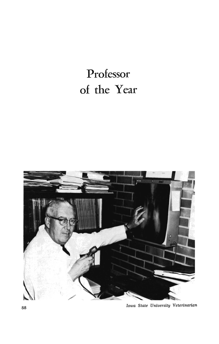## **Professor of the Year**



*Iowa State University Veterinarian*